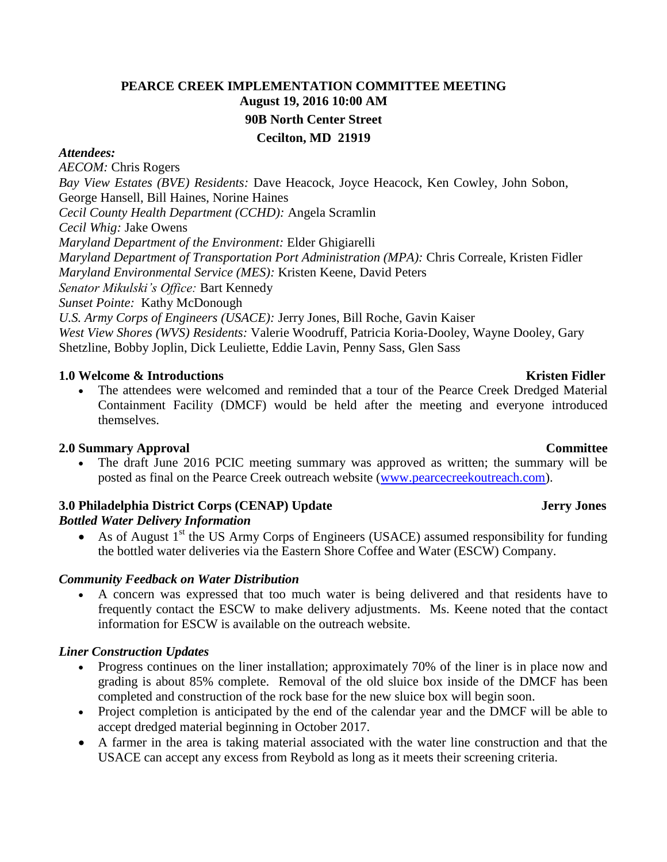# **PEARCE CREEK IMPLEMENTATION COMMITTEE MEETING August 19, 2016 10:00 AM 90B North Center Street Cecilton, MD 21919**

### *Attendees:*

*AECOM:* Chris Rogers *Bay View Estates (BVE) Residents:* Dave Heacock, Joyce Heacock, Ken Cowley, John Sobon, George Hansell, Bill Haines, Norine Haines *Cecil County Health Department (CCHD):* Angela Scramlin *Cecil Whig:* Jake Owens *Maryland Department of the Environment:* Elder Ghigiarelli *Maryland Department of Transportation Port Administration (MPA):* Chris Correale, Kristen Fidler *Maryland Environmental Service (MES):* Kristen Keene, David Peters *Senator Mikulski's Office:* Bart Kennedy *Sunset Pointe:* Kathy McDonough *U.S. Army Corps of Engineers (USACE):* Jerry Jones, Bill Roche, Gavin Kaiser *West View Shores (WVS) Residents:* Valerie Woodruff, Patricia Koria-Dooley, Wayne Dooley, Gary Shetzline, Bobby Joplin, Dick Leuliette, Eddie Lavin, Penny Sass, Glen Sass

### **1.0** Welcome & Introductions **Kristen Fidler Kristen Fidler Kristen Fidler Kristen Fidler**

 The attendees were welcomed and reminded that a tour of the Pearce Creek Dredged Material Containment Facility (DMCF) would be held after the meeting and everyone introduced themselves.

### **2.0 Summary Approval Committee**

 The draft June 2016 PCIC meeting summary was approved as written; the summary will be posted as final on the Pearce Creek outreach website [\(www.pearcecreekoutreach.com\)](http://www.pearcecreekoutreach.com/).

### **3.0** Philadelphia District Corps (CENAP) Update Jerry Jones *Bottled Water Delivery Information*

As of August  $1<sup>st</sup>$  the US Army Corps of Engineers (USACE) assumed responsibility for funding the bottled water deliveries via the Eastern Shore Coffee and Water (ESCW) Company.

### *Community Feedback on Water Distribution*

 A concern was expressed that too much water is being delivered and that residents have to frequently contact the ESCW to make delivery adjustments. Ms. Keene noted that the contact information for ESCW is available on the outreach website.

## *Liner Construction Updates*

- Progress continues on the liner installation; approximately 70% of the liner is in place now and grading is about 85% complete. Removal of the old sluice box inside of the DMCF has been completed and construction of the rock base for the new sluice box will begin soon.
- Project completion is anticipated by the end of the calendar year and the DMCF will be able to accept dredged material beginning in October 2017.
- A farmer in the area is taking material associated with the water line construction and that the USACE can accept any excess from Reybold as long as it meets their screening criteria.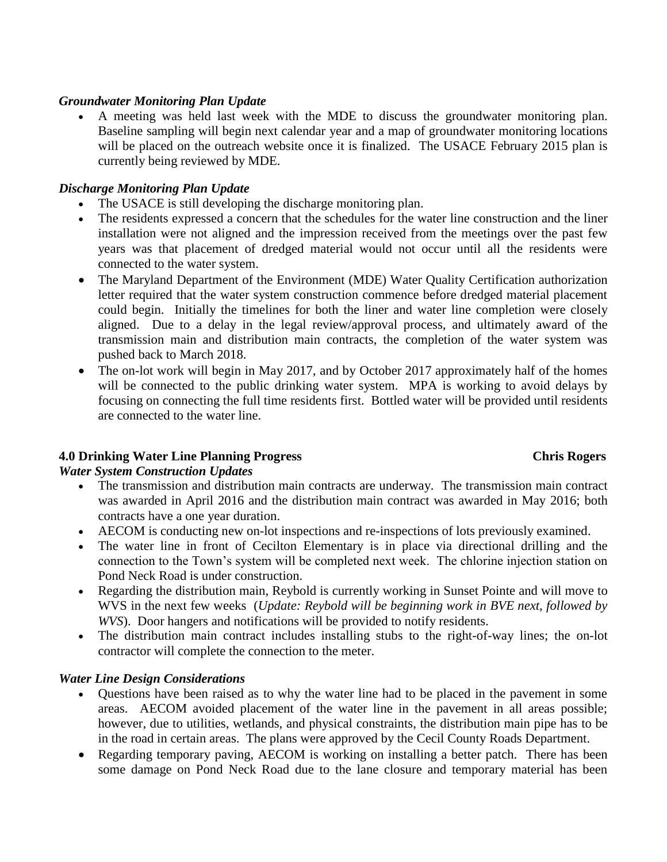### *Groundwater Monitoring Plan Update*

 A meeting was held last week with the MDE to discuss the groundwater monitoring plan. Baseline sampling will begin next calendar year and a map of groundwater monitoring locations will be placed on the outreach website once it is finalized. The USACE February 2015 plan is currently being reviewed by MDE.

### *Discharge Monitoring Plan Update*

- The USACE is still developing the discharge monitoring plan.
- The residents expressed a concern that the schedules for the water line construction and the liner installation were not aligned and the impression received from the meetings over the past few years was that placement of dredged material would not occur until all the residents were connected to the water system.
- The Maryland Department of the Environment (MDE) Water Quality Certification authorization letter required that the water system construction commence before dredged material placement could begin. Initially the timelines for both the liner and water line completion were closely aligned. Due to a delay in the legal review/approval process, and ultimately award of the transmission main and distribution main contracts, the completion of the water system was pushed back to March 2018.
- The on-lot work will begin in May 2017, and by October 2017 approximately half of the homes will be connected to the public drinking water system. MPA is working to avoid delays by focusing on connecting the full time residents first. Bottled water will be provided until residents are connected to the water line.

## **4.0 Drinking Water Line Planning Progress Chris Rogers**

## *Water System Construction Updates*

- The transmission and distribution main contracts are underway. The transmission main contract was awarded in April 2016 and the distribution main contract was awarded in May 2016; both contracts have a one year duration.
- AECOM is conducting new on-lot inspections and re-inspections of lots previously examined.
- The water line in front of Cecilton Elementary is in place via directional drilling and the connection to the Town's system will be completed next week. The chlorine injection station on Pond Neck Road is under construction.
- Regarding the distribution main, Reybold is currently working in Sunset Pointe and will move to WVS in the next few weeks (*Update: Reybold will be beginning work in BVE next, followed by WVS*). Door hangers and notifications will be provided to notify residents.
- The distribution main contract includes installing stubs to the right-of-way lines; the on-lot contractor will complete the connection to the meter.

## *Water Line Design Considerations*

- Questions have been raised as to why the water line had to be placed in the pavement in some areas. AECOM avoided placement of the water line in the pavement in all areas possible; however, due to utilities, wetlands, and physical constraints, the distribution main pipe has to be in the road in certain areas. The plans were approved by the Cecil County Roads Department.
- Regarding temporary paving, AECOM is working on installing a better patch. There has been some damage on Pond Neck Road due to the lane closure and temporary material has been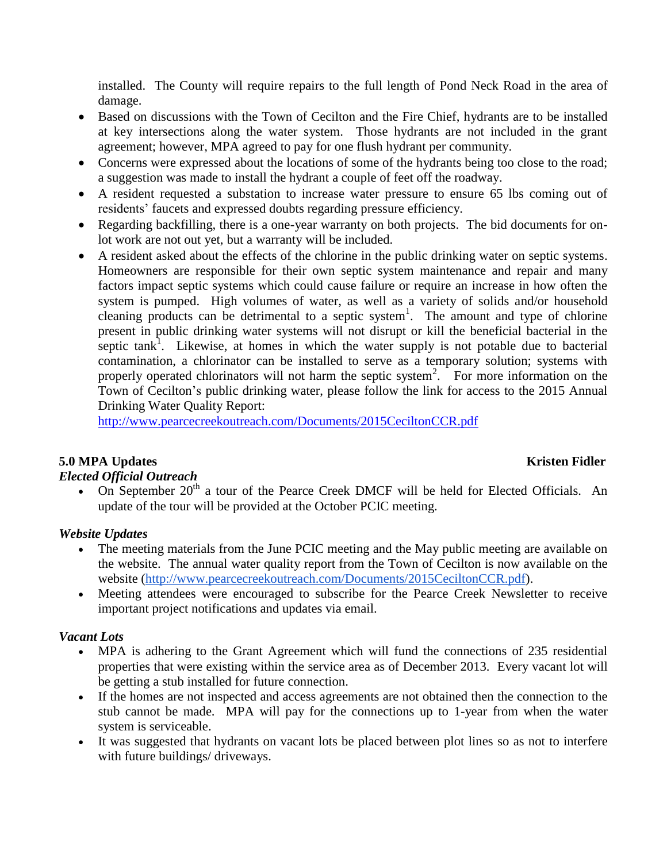installed. The County will require repairs to the full length of Pond Neck Road in the area of damage.

- Based on discussions with the Town of Cecilton and the Fire Chief, hydrants are to be installed at key intersections along the water system. Those hydrants are not included in the grant agreement; however, MPA agreed to pay for one flush hydrant per community.
- Concerns were expressed about the locations of some of the hydrants being too close to the road; a suggestion was made to install the hydrant a couple of feet off the roadway.
- A resident requested a substation to increase water pressure to ensure 65 lbs coming out of residents' faucets and expressed doubts regarding pressure efficiency.
- Regarding backfilling, there is a one-year warranty on both projects. The bid documents for onlot work are not out yet, but a warranty will be included.
- A resident asked about the effects of the chlorine in the public drinking water on septic systems. Homeowners are responsible for their own septic system maintenance and repair and many factors impact septic systems which could cause failure or require an increase in how often the system is pumped. High volumes of water, as well as a variety of solids and/or household cleaning products can be detrimental to a septic system<sup>1</sup>. The amount and type of chlorine present in public drinking water systems will not disrupt or kill the beneficial bacterial in the septic tank<sup>1</sup>. Likewise, at homes in which the water supply is not potable due to bacterial contamination, a chlorinator can be installed to serve as a temporary solution; systems with properly operated chlorinators will not harm the septic system<sup>2</sup>. For more information on the Town of Cecilton's public drinking water, please follow the link for access to the 2015 Annual Drinking Water Quality Report:

<http://www.pearcecreekoutreach.com/Documents/2015CeciltonCCR.pdf>

## **5.0 MPA Updates Kristen Fidler**

# *Elected Official Outreach*

On September  $20<sup>th</sup>$  a tour of the Pearce Creek DMCF will be held for Elected Officials. An update of the tour will be provided at the October PCIC meeting.

### *Website Updates*

- The meeting materials from the June PCIC meeting and the May public meeting are available on the website. The annual water quality report from the Town of Cecilton is now available on the website [\(http://www.pearcecreekoutreach.com/Documents/2015CeciltonCCR.pdf\)](http://www.pearcecreekoutreach.com/Documents/2015CeciltonCCR.pdf).
- Meeting attendees were encouraged to subscribe for the Pearce Creek Newsletter to receive important project notifications and updates via email.

## *Vacant Lots*

- MPA is adhering to the Grant Agreement which will fund the connections of 235 residential properties that were existing within the service area as of December 2013. Every vacant lot will be getting a stub installed for future connection.
- If the homes are not inspected and access agreements are not obtained then the connection to the stub cannot be made. MPA will pay for the connections up to 1-year from when the water system is serviceable.
- It was suggested that hydrants on vacant lots be placed between plot lines so as not to interfere with future buildings/ driveways.